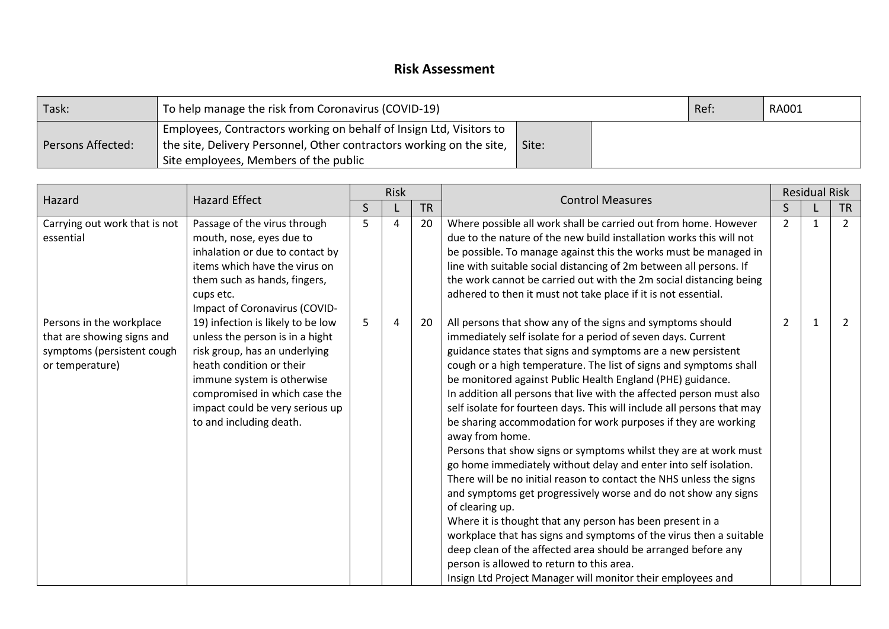## **Risk Assessment**

| Task:             | To help manage the risk from Coronavirus (COVID-19)                                                                                                                                                    | Ref: | <b>RA001</b> |  |  |
|-------------------|--------------------------------------------------------------------------------------------------------------------------------------------------------------------------------------------------------|------|--------------|--|--|
| Persons Affected: | Employees, Contractors working on behalf of Insign Ltd, Visitors to<br>the site, Delivery Personnel, Other contractors working on the site, $\parallel$ Site:<br>Site employees, Members of the public |      |              |  |  |

| Hazard                                                                                                  | <b>Hazard Effect</b>                                                                                                                                                                                                                                           |              | <b>Risk</b> |           | <b>Control Measures</b>                                                                                                                                                                                                                                                                                                                                                                                                                                                                                                                                                                                                                                                                                                                                                                                                                                                                                                                                                                                                                                                                                                                                                                  |                | <b>Residual Risk</b> |                |
|---------------------------------------------------------------------------------------------------------|----------------------------------------------------------------------------------------------------------------------------------------------------------------------------------------------------------------------------------------------------------------|--------------|-------------|-----------|------------------------------------------------------------------------------------------------------------------------------------------------------------------------------------------------------------------------------------------------------------------------------------------------------------------------------------------------------------------------------------------------------------------------------------------------------------------------------------------------------------------------------------------------------------------------------------------------------------------------------------------------------------------------------------------------------------------------------------------------------------------------------------------------------------------------------------------------------------------------------------------------------------------------------------------------------------------------------------------------------------------------------------------------------------------------------------------------------------------------------------------------------------------------------------------|----------------|----------------------|----------------|
|                                                                                                         |                                                                                                                                                                                                                                                                | $\mathsf{S}$ |             | <b>TR</b> |                                                                                                                                                                                                                                                                                                                                                                                                                                                                                                                                                                                                                                                                                                                                                                                                                                                                                                                                                                                                                                                                                                                                                                                          |                |                      | <b>TR</b>      |
| Carrying out work that is not<br>essential                                                              | Passage of the virus through<br>mouth, nose, eyes due to<br>inhalation or due to contact by<br>items which have the virus on<br>them such as hands, fingers,<br>cups etc.<br>Impact of Coronavirus (COVID-                                                     | 5            | 4           | 20        | Where possible all work shall be carried out from home. However<br>due to the nature of the new build installation works this will not<br>be possible. To manage against this the works must be managed in<br>line with suitable social distancing of 2m between all persons. If<br>the work cannot be carried out with the 2m social distancing being<br>adhered to then it must not take place if it is not essential.                                                                                                                                                                                                                                                                                                                                                                                                                                                                                                                                                                                                                                                                                                                                                                 | $\overline{2}$ | $\mathbf{1}$         | $\overline{2}$ |
| Persons in the workplace<br>that are showing signs and<br>symptoms (persistent cough<br>or temperature) | 19) infection is likely to be low<br>unless the person is in a hight<br>risk group, has an underlying<br>heath condition or their<br>immune system is otherwise<br>compromised in which case the<br>impact could be very serious up<br>to and including death. | 5            | 4           | 20        | All persons that show any of the signs and symptoms should<br>immediately self isolate for a period of seven days. Current<br>guidance states that signs and symptoms are a new persistent<br>cough or a high temperature. The list of signs and symptoms shall<br>be monitored against Public Health England (PHE) guidance.<br>In addition all persons that live with the affected person must also<br>self isolate for fourteen days. This will include all persons that may<br>be sharing accommodation for work purposes if they are working<br>away from home.<br>Persons that show signs or symptoms whilst they are at work must<br>go home immediately without delay and enter into self isolation.<br>There will be no initial reason to contact the NHS unless the signs<br>and symptoms get progressively worse and do not show any signs<br>of clearing up.<br>Where it is thought that any person has been present in a<br>workplace that has signs and symptoms of the virus then a suitable<br>deep clean of the affected area should be arranged before any<br>person is allowed to return to this area.<br>Insign Ltd Project Manager will monitor their employees and | 2              | 1                    | $\mathcal{L}$  |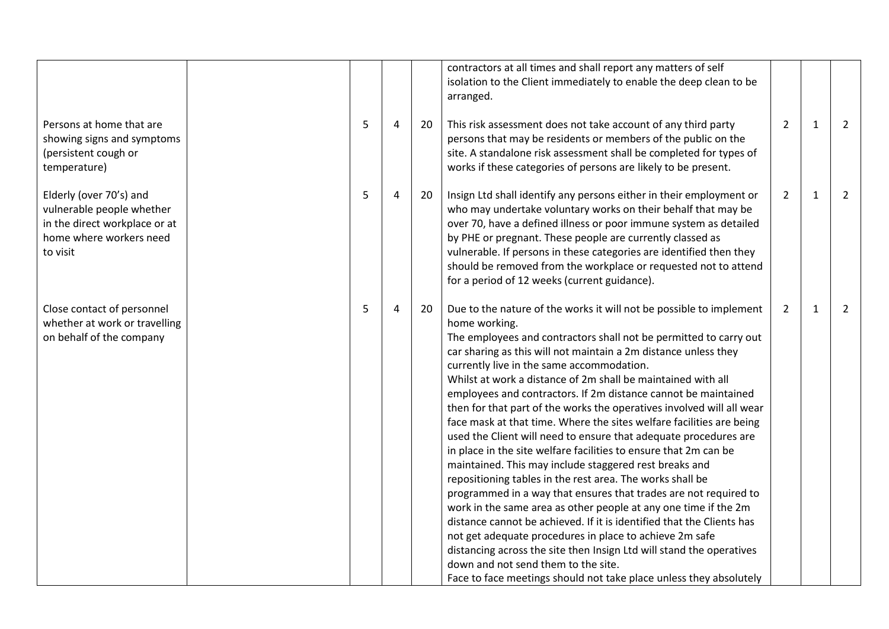|                                                                                                                              |   |                |    | contractors at all times and shall report any matters of self<br>isolation to the Client immediately to enable the deep clean to be<br>arranged.                                                                                                                                                                                                                                                                                                                                                                                                                                                                                                                                                                                                                                                                                                                                                                                                                                                                                                                                                                                                                                                                                                                                            |                |              |                |
|------------------------------------------------------------------------------------------------------------------------------|---|----------------|----|---------------------------------------------------------------------------------------------------------------------------------------------------------------------------------------------------------------------------------------------------------------------------------------------------------------------------------------------------------------------------------------------------------------------------------------------------------------------------------------------------------------------------------------------------------------------------------------------------------------------------------------------------------------------------------------------------------------------------------------------------------------------------------------------------------------------------------------------------------------------------------------------------------------------------------------------------------------------------------------------------------------------------------------------------------------------------------------------------------------------------------------------------------------------------------------------------------------------------------------------------------------------------------------------|----------------|--------------|----------------|
| Persons at home that are<br>showing signs and symptoms<br>(persistent cough or<br>temperature)                               | 5 | $\overline{4}$ | 20 | This risk assessment does not take account of any third party<br>persons that may be residents or members of the public on the<br>site. A standalone risk assessment shall be completed for types of<br>works if these categories of persons are likely to be present.                                                                                                                                                                                                                                                                                                                                                                                                                                                                                                                                                                                                                                                                                                                                                                                                                                                                                                                                                                                                                      | $\overline{2}$ | $\mathbf{1}$ | $\overline{2}$ |
| Elderly (over 70's) and<br>vulnerable people whether<br>in the direct workplace or at<br>home where workers need<br>to visit | 5 | 4              | 20 | Insign Ltd shall identify any persons either in their employment or<br>who may undertake voluntary works on their behalf that may be<br>over 70, have a defined illness or poor immune system as detailed<br>by PHE or pregnant. These people are currently classed as<br>vulnerable. If persons in these categories are identified then they<br>should be removed from the workplace or requested not to attend<br>for a period of 12 weeks (current guidance).                                                                                                                                                                                                                                                                                                                                                                                                                                                                                                                                                                                                                                                                                                                                                                                                                            | $\overline{2}$ | $\mathbf{1}$ | 2              |
| Close contact of personnel<br>whether at work or travelling<br>on behalf of the company                                      | 5 | 4              | 20 | Due to the nature of the works it will not be possible to implement<br>home working.<br>The employees and contractors shall not be permitted to carry out<br>car sharing as this will not maintain a 2m distance unless they<br>currently live in the same accommodation.<br>Whilst at work a distance of 2m shall be maintained with all<br>employees and contractors. If 2m distance cannot be maintained<br>then for that part of the works the operatives involved will all wear<br>face mask at that time. Where the sites welfare facilities are being<br>used the Client will need to ensure that adequate procedures are<br>in place in the site welfare facilities to ensure that 2m can be<br>maintained. This may include staggered rest breaks and<br>repositioning tables in the rest area. The works shall be<br>programmed in a way that ensures that trades are not required to<br>work in the same area as other people at any one time if the 2m<br>distance cannot be achieved. If it is identified that the Clients has<br>not get adequate procedures in place to achieve 2m safe<br>distancing across the site then Insign Ltd will stand the operatives<br>down and not send them to the site.<br>Face to face meetings should not take place unless they absolutely | 2              | $\mathbf{1}$ | 2              |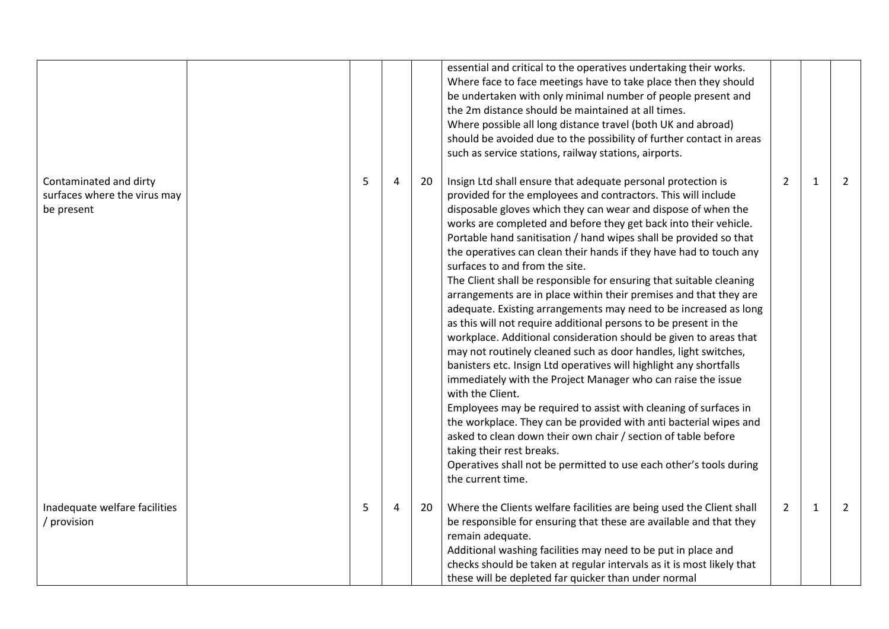|                                                                      |   |                |    | essential and critical to the operatives undertaking their works.<br>Where face to face meetings have to take place then they should<br>be undertaken with only minimal number of people present and<br>the 2m distance should be maintained at all times.<br>Where possible all long distance travel (both UK and abroad)<br>should be avoided due to the possibility of further contact in areas<br>such as service stations, railway stations, airports.                                                                                                                                                                                                                                                                                                                                                                                                                                                                                                                                                                                                                                                                                                                                                                                                                                                                                                             |                |              |                |
|----------------------------------------------------------------------|---|----------------|----|-------------------------------------------------------------------------------------------------------------------------------------------------------------------------------------------------------------------------------------------------------------------------------------------------------------------------------------------------------------------------------------------------------------------------------------------------------------------------------------------------------------------------------------------------------------------------------------------------------------------------------------------------------------------------------------------------------------------------------------------------------------------------------------------------------------------------------------------------------------------------------------------------------------------------------------------------------------------------------------------------------------------------------------------------------------------------------------------------------------------------------------------------------------------------------------------------------------------------------------------------------------------------------------------------------------------------------------------------------------------------|----------------|--------------|----------------|
| Contaminated and dirty<br>surfaces where the virus may<br>be present | 5 | $\overline{4}$ | 20 | Insign Ltd shall ensure that adequate personal protection is<br>provided for the employees and contractors. This will include<br>disposable gloves which they can wear and dispose of when the<br>works are completed and before they get back into their vehicle.<br>Portable hand sanitisation / hand wipes shall be provided so that<br>the operatives can clean their hands if they have had to touch any<br>surfaces to and from the site.<br>The Client shall be responsible for ensuring that suitable cleaning<br>arrangements are in place within their premises and that they are<br>adequate. Existing arrangements may need to be increased as long<br>as this will not require additional persons to be present in the<br>workplace. Additional consideration should be given to areas that<br>may not routinely cleaned such as door handles, light switches,<br>banisters etc. Insign Ltd operatives will highlight any shortfalls<br>immediately with the Project Manager who can raise the issue<br>with the Client.<br>Employees may be required to assist with cleaning of surfaces in<br>the workplace. They can be provided with anti bacterial wipes and<br>asked to clean down their own chair / section of table before<br>taking their rest breaks.<br>Operatives shall not be permitted to use each other's tools during<br>the current time. | 2              | $\mathbf{1}$ | 2              |
| Inadequate welfare facilities<br>/ provision                         | 5 | 4              | 20 | Where the Clients welfare facilities are being used the Client shall<br>be responsible for ensuring that these are available and that they<br>remain adequate.<br>Additional washing facilities may need to be put in place and<br>checks should be taken at regular intervals as it is most likely that<br>these will be depleted far quicker than under normal                                                                                                                                                                                                                                                                                                                                                                                                                                                                                                                                                                                                                                                                                                                                                                                                                                                                                                                                                                                                        | $\overline{2}$ | $\mathbf{1}$ | $\overline{2}$ |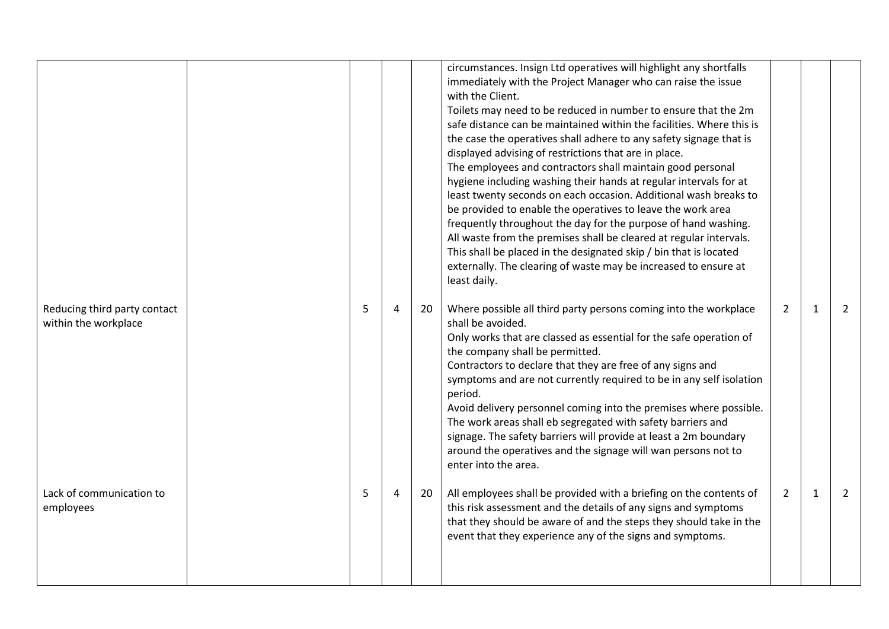|                                                      |   |   |    | circumstances. Insign Ltd operatives will highlight any shortfalls<br>immediately with the Project Manager who can raise the issue<br>with the Client.<br>Toilets may need to be reduced in number to ensure that the 2m<br>safe distance can be maintained within the facilities. Where this is<br>the case the operatives shall adhere to any safety signage that is<br>displayed advising of restrictions that are in place.<br>The employees and contractors shall maintain good personal<br>hygiene including washing their hands at regular intervals for at<br>least twenty seconds on each occasion. Additional wash breaks to<br>be provided to enable the operatives to leave the work area<br>frequently throughout the day for the purpose of hand washing.<br>All waste from the premises shall be cleared at regular intervals.<br>This shall be placed in the designated skip / bin that is located<br>externally. The clearing of waste may be increased to ensure at<br>least daily. |                |              |   |
|------------------------------------------------------|---|---|----|-------------------------------------------------------------------------------------------------------------------------------------------------------------------------------------------------------------------------------------------------------------------------------------------------------------------------------------------------------------------------------------------------------------------------------------------------------------------------------------------------------------------------------------------------------------------------------------------------------------------------------------------------------------------------------------------------------------------------------------------------------------------------------------------------------------------------------------------------------------------------------------------------------------------------------------------------------------------------------------------------------|----------------|--------------|---|
| Reducing third party contact<br>within the workplace | 5 | 4 | 20 | Where possible all third party persons coming into the workplace<br>shall be avoided.<br>Only works that are classed as essential for the safe operation of<br>the company shall be permitted.<br>Contractors to declare that they are free of any signs and<br>symptoms and are not currently required to be in any self isolation<br>period.<br>Avoid delivery personnel coming into the premises where possible.<br>The work areas shall eb segregated with safety barriers and<br>signage. The safety barriers will provide at least a 2m boundary<br>around the operatives and the signage will wan persons not to<br>enter into the area.                                                                                                                                                                                                                                                                                                                                                       | $\overline{2}$ | $\mathbf{1}$ | 2 |
| Lack of communication to<br>employees                | 5 | 4 | 20 | All employees shall be provided with a briefing on the contents of<br>this risk assessment and the details of any signs and symptoms<br>that they should be aware of and the steps they should take in the<br>event that they experience any of the signs and symptoms.                                                                                                                                                                                                                                                                                                                                                                                                                                                                                                                                                                                                                                                                                                                               | $\overline{2}$ | $\mathbf{1}$ | 2 |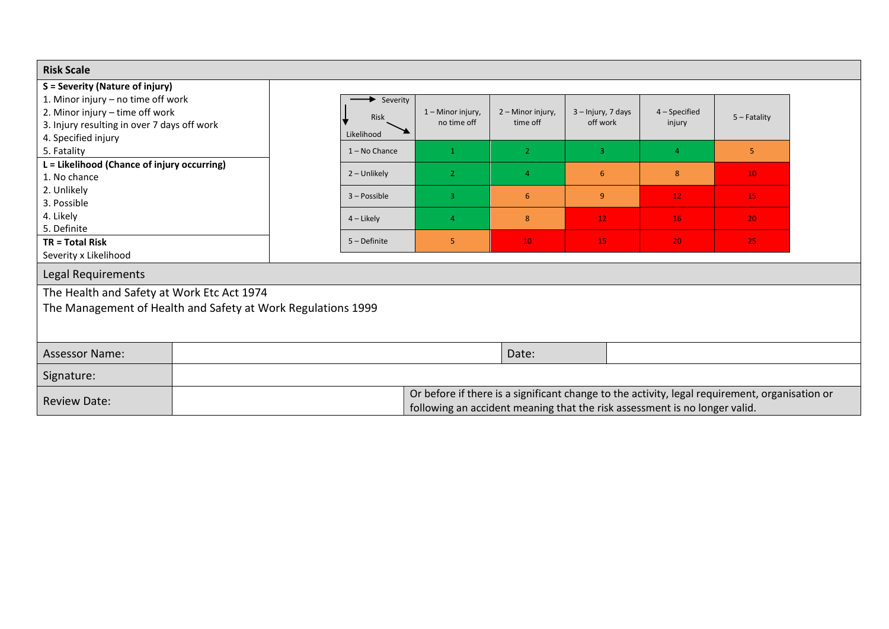| <b>Risk Scale</b>                                                                                          |  |                    |                                                                                                                                                                              |                               |                                |                         |                 |
|------------------------------------------------------------------------------------------------------------|--|--------------------|------------------------------------------------------------------------------------------------------------------------------------------------------------------------------|-------------------------------|--------------------------------|-------------------------|-----------------|
| S = Severity (Nature of injury)<br>1. Minor injury - no time off work                                      |  | Severity           |                                                                                                                                                                              |                               |                                |                         |                 |
| 2. Minor injury - time off work<br>3. Injury resulting in over 7 days off work<br>4. Specified injury      |  | Risk<br>Likelihood | 1 - Minor injury,<br>no time off                                                                                                                                             | 2 - Minor injury,<br>time off | 3 - Injury, 7 days<br>off work | 4 - Specified<br>injury | $5 -$ Fatality  |
| 5. Fatality                                                                                                |  | $1 - No$ Chance    | $\mathbf{1}$                                                                                                                                                                 | $\overline{2}$                | $\overline{3}$                 | $\overline{4}$          | 5               |
| L = Likelihood (Chance of injury occurring)<br>1. No chance                                                |  | 2 - Unlikely       | $\overline{2}$                                                                                                                                                               | $\overline{4}$                | 6                              | 8                       | 10 <sup>°</sup> |
| 2. Unlikely<br>3. Possible                                                                                 |  | $3 - Possible$     | $\overline{3}$                                                                                                                                                               | 6                             | 9 <sup>°</sup>                 | 12 <sup>2</sup>         | 15              |
| 4. Likely<br>5. Definite                                                                                   |  | $4$ – Likely       | $\overline{4}$                                                                                                                                                               | 8                             | 12 <sub>1</sub>                | 16                      | 20              |
| <b>TR = Total Risk</b><br>Severity x Likelihood                                                            |  | $5 - Definite$     | 5                                                                                                                                                                            | 10                            | 15                             | 20                      | 25              |
| Legal Requirements                                                                                         |  |                    |                                                                                                                                                                              |                               |                                |                         |                 |
| The Health and Safety at Work Etc Act 1974<br>The Management of Health and Safety at Work Regulations 1999 |  |                    |                                                                                                                                                                              |                               |                                |                         |                 |
| <b>Assessor Name:</b>                                                                                      |  |                    |                                                                                                                                                                              | Date:                         |                                |                         |                 |
| Signature:                                                                                                 |  |                    |                                                                                                                                                                              |                               |                                |                         |                 |
| <b>Review Date:</b>                                                                                        |  |                    | Or before if there is a significant change to the activity, legal requirement, organisation or<br>following an accident meaning that the risk assessment is no longer valid. |                               |                                |                         |                 |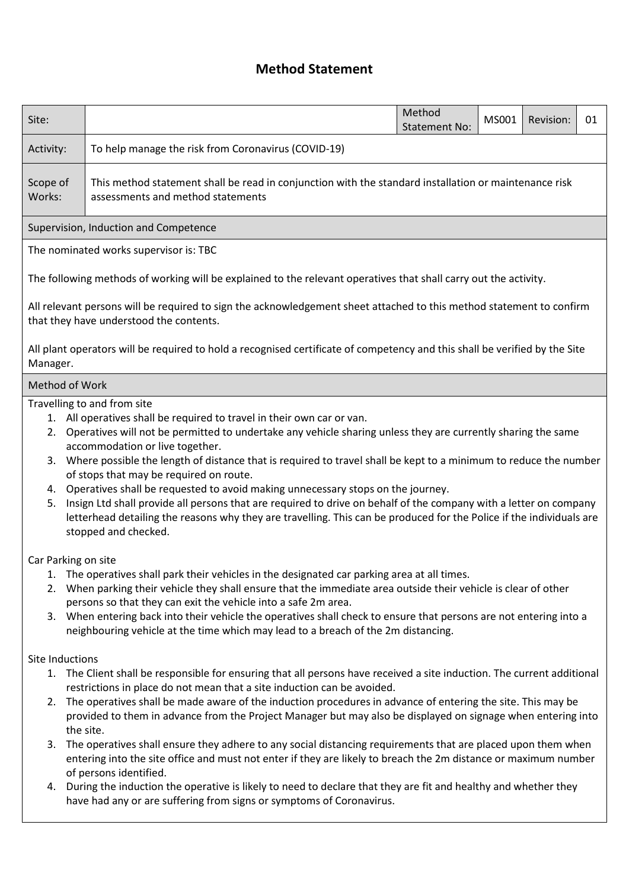# **Method Statement**

| Site:               |                                                                                                                                                                                                                                                                                                                                                                                                                                                                                                                                                                                                                                                                                                                                                                                             | Method<br><b>Statement No:</b> | MS001 | Revision: | 01 |  |  |  |  |  |  |
|---------------------|---------------------------------------------------------------------------------------------------------------------------------------------------------------------------------------------------------------------------------------------------------------------------------------------------------------------------------------------------------------------------------------------------------------------------------------------------------------------------------------------------------------------------------------------------------------------------------------------------------------------------------------------------------------------------------------------------------------------------------------------------------------------------------------------|--------------------------------|-------|-----------|----|--|--|--|--|--|--|
| Activity:           | To help manage the risk from Coronavirus (COVID-19)                                                                                                                                                                                                                                                                                                                                                                                                                                                                                                                                                                                                                                                                                                                                         |                                |       |           |    |  |  |  |  |  |  |
| Scope of<br>Works:  | This method statement shall be read in conjunction with the standard installation or maintenance risk<br>assessments and method statements                                                                                                                                                                                                                                                                                                                                                                                                                                                                                                                                                                                                                                                  |                                |       |           |    |  |  |  |  |  |  |
|                     | Supervision, Induction and Competence                                                                                                                                                                                                                                                                                                                                                                                                                                                                                                                                                                                                                                                                                                                                                       |                                |       |           |    |  |  |  |  |  |  |
|                     | The nominated works supervisor is: TBC                                                                                                                                                                                                                                                                                                                                                                                                                                                                                                                                                                                                                                                                                                                                                      |                                |       |           |    |  |  |  |  |  |  |
|                     | The following methods of working will be explained to the relevant operatives that shall carry out the activity.                                                                                                                                                                                                                                                                                                                                                                                                                                                                                                                                                                                                                                                                            |                                |       |           |    |  |  |  |  |  |  |
|                     | All relevant persons will be required to sign the acknowledgement sheet attached to this method statement to confirm<br>that they have understood the contents.                                                                                                                                                                                                                                                                                                                                                                                                                                                                                                                                                                                                                             |                                |       |           |    |  |  |  |  |  |  |
| Manager.            | All plant operators will be required to hold a recognised certificate of competency and this shall be verified by the Site                                                                                                                                                                                                                                                                                                                                                                                                                                                                                                                                                                                                                                                                  |                                |       |           |    |  |  |  |  |  |  |
| Method of Work      |                                                                                                                                                                                                                                                                                                                                                                                                                                                                                                                                                                                                                                                                                                                                                                                             |                                |       |           |    |  |  |  |  |  |  |
|                     | Travelling to and from site<br>1. All operatives shall be required to travel in their own car or van.<br>2. Operatives will not be permitted to undertake any vehicle sharing unless they are currently sharing the same<br>accommodation or live together.<br>3. Where possible the length of distance that is required to travel shall be kept to a minimum to reduce the number<br>of stops that may be required on route.<br>4. Operatives shall be requested to avoid making unnecessary stops on the journey.<br>5. Insign Ltd shall provide all persons that are required to drive on behalf of the company with a letter on company<br>letterhead detailing the reasons why they are travelling. This can be produced for the Police if the individuals are<br>stopped and checked. |                                |       |           |    |  |  |  |  |  |  |
| Car Parking on site |                                                                                                                                                                                                                                                                                                                                                                                                                                                                                                                                                                                                                                                                                                                                                                                             |                                |       |           |    |  |  |  |  |  |  |
|                     | 1. The operatives shall park their vehicles in the designated car parking area at all times.<br>2. When parking their vehicle they shall ensure that the immediate area outside their vehicle is clear of other                                                                                                                                                                                                                                                                                                                                                                                                                                                                                                                                                                             |                                |       |           |    |  |  |  |  |  |  |

- persons so that they can exit the vehicle into a safe 2m area.
- 3. When entering back into their vehicle the operatives shall check to ensure that persons are not entering into a neighbouring vehicle at the time which may lead to a breach of the 2m distancing.

### Site Inductions

- 1. The Client shall be responsible for ensuring that all persons have received a site induction. The current additional restrictions in place do not mean that a site induction can be avoided.
- 2. The operatives shall be made aware of the induction procedures in advance of entering the site. This may be provided to them in advance from the Project Manager but may also be displayed on signage when entering into the site.
- 3. The operatives shall ensure they adhere to any social distancing requirements that are placed upon them when entering into the site office and must not enter if they are likely to breach the 2m distance or maximum number of persons identified.
- 4. During the induction the operative is likely to need to declare that they are fit and healthy and whether they have had any or are suffering from signs or symptoms of Coronavirus.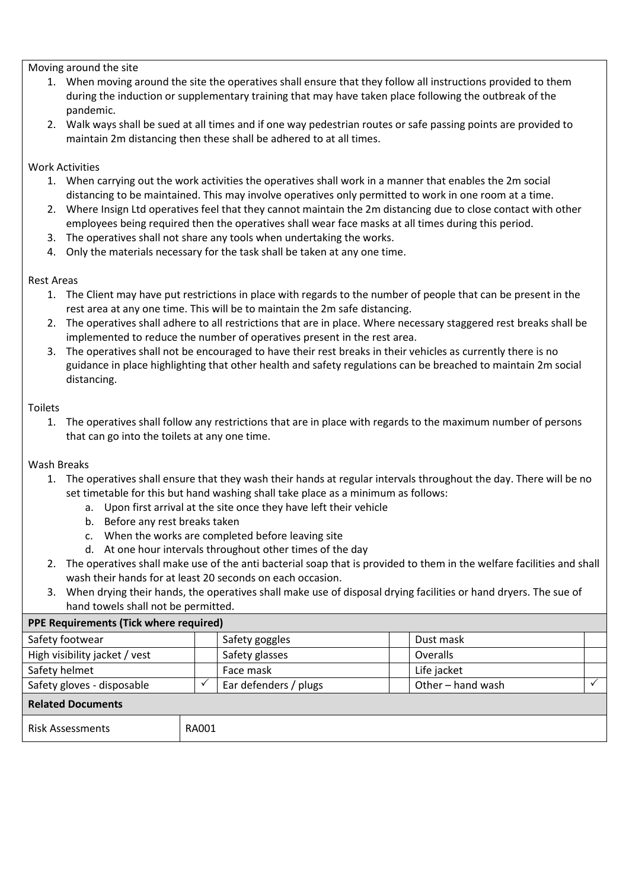Moving around the site

- 1. When moving around the site the operatives shall ensure that they follow all instructions provided to them during the induction or supplementary training that may have taken place following the outbreak of the pandemic.
- 2. Walk ways shall be sued at all times and if one way pedestrian routes or safe passing points are provided to maintain 2m distancing then these shall be adhered to at all times.

### Work Activities

- 1. When carrying out the work activities the operatives shall work in a manner that enables the 2m social distancing to be maintained. This may involve operatives only permitted to work in one room at a time.
- 2. Where Insign Ltd operatives feel that they cannot maintain the 2m distancing due to close contact with other employees being required then the operatives shall wear face masks at all times during this period.
- 3. The operatives shall not share any tools when undertaking the works.
- 4. Only the materials necessary for the task shall be taken at any one time.

### Rest Areas

- 1. The Client may have put restrictions in place with regards to the number of people that can be present in the rest area at any one time. This will be to maintain the 2m safe distancing.
- 2. The operatives shall adhere to all restrictions that are in place. Where necessary staggered rest breaks shall be implemented to reduce the number of operatives present in the rest area.
- 3. The operatives shall not be encouraged to have their rest breaks in their vehicles as currently there is no guidance in place highlighting that other health and safety regulations can be breached to maintain 2m social distancing.

#### Toilets

1. The operatives shall follow any restrictions that are in place with regards to the maximum number of persons that can go into the toilets at any one time.

### Wash Breaks

- 1. The operatives shall ensure that they wash their hands at regular intervals throughout the day. There will be no set timetable for this but hand washing shall take place as a minimum as follows:
	- a. Upon first arrival at the site once they have left their vehicle
	- b. Before any rest breaks taken
	- c. When the works are completed before leaving site
	- d. At one hour intervals throughout other times of the day
- 2. The operatives shall make use of the anti bacterial soap that is provided to them in the welfare facilities and shall wash their hands for at least 20 seconds on each occasion.
- 3. When drying their hands, the operatives shall make use of disposal drying facilities or hand dryers. The sue of hand towels shall not be permitted.

| <b>PPE Requirements (Tick where required)</b> |              |                       |                   |             |  |  |  |  |  |  |  |
|-----------------------------------------------|--------------|-----------------------|-------------------|-------------|--|--|--|--|--|--|--|
| Safety footwear                               |              | Safety goggles        |                   | Dust mask   |  |  |  |  |  |  |  |
| High visibility jacket / vest                 |              | Safety glasses        |                   | Overalls    |  |  |  |  |  |  |  |
| Safety helmet                                 |              | Face mask             |                   | Life jacket |  |  |  |  |  |  |  |
| Safety gloves - disposable                    |              | Ear defenders / plugs | Other - hand wash |             |  |  |  |  |  |  |  |
| <b>Related Documents</b>                      |              |                       |                   |             |  |  |  |  |  |  |  |
| <b>Risk Assessments</b>                       | <b>RA001</b> |                       |                   |             |  |  |  |  |  |  |  |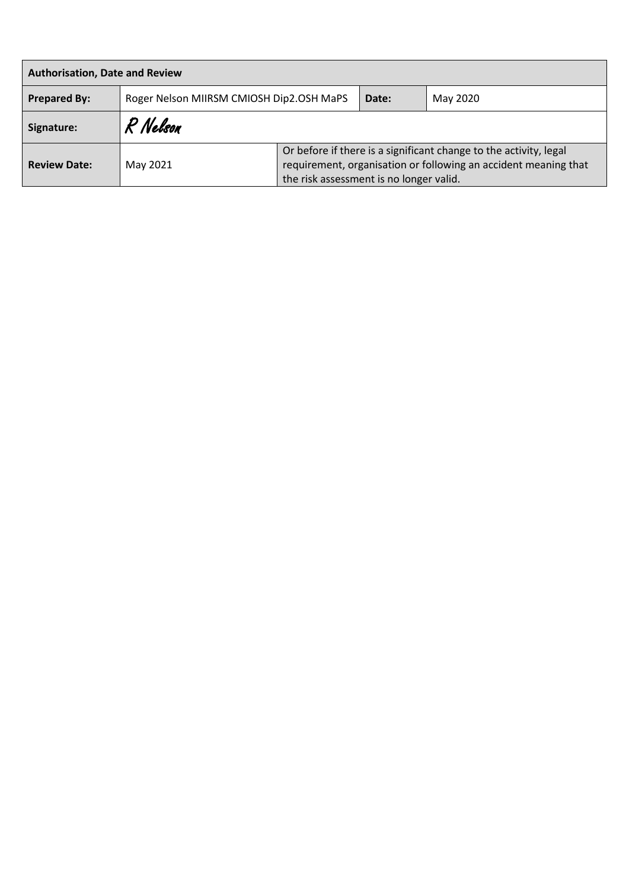| <b>Authorisation, Date and Review</b> |                                          |                                                                                                                                                                                 |       |          |  |  |  |  |  |  |  |
|---------------------------------------|------------------------------------------|---------------------------------------------------------------------------------------------------------------------------------------------------------------------------------|-------|----------|--|--|--|--|--|--|--|
| <b>Prepared By:</b>                   | Roger Nelson MIIRSM CMIOSH Dip2.OSH MaPS |                                                                                                                                                                                 | Date: | May 2020 |  |  |  |  |  |  |  |
| Signature:                            | R Nelson                                 |                                                                                                                                                                                 |       |          |  |  |  |  |  |  |  |
| <b>Review Date:</b>                   | May 2021                                 | Or before if there is a significant change to the activity, legal<br>requirement, organisation or following an accident meaning that<br>the risk assessment is no longer valid. |       |          |  |  |  |  |  |  |  |